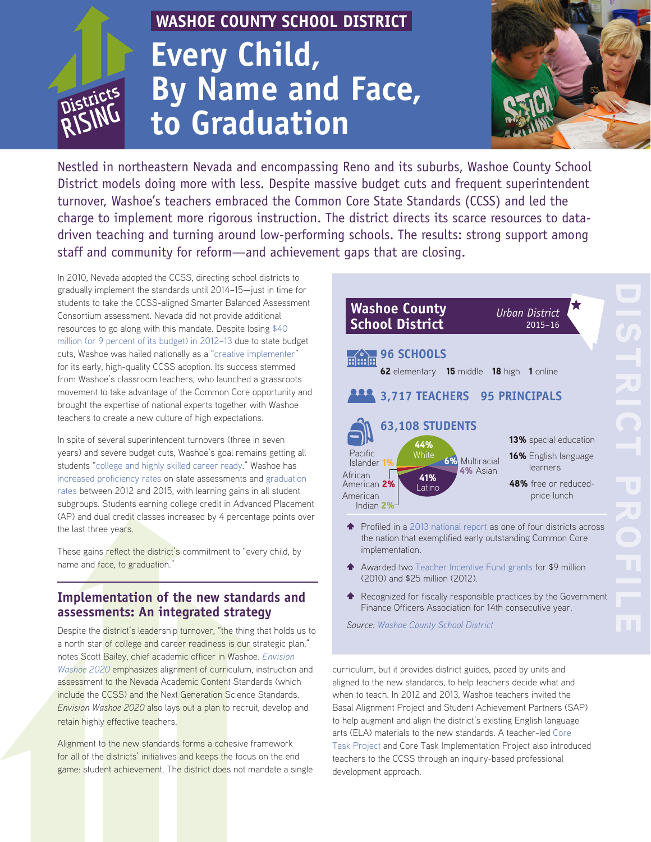# *RISTRICTS*

# **WASHOE COUNTY SCHOOL DISTRICT Every Child, By Name and Face, to Graduation**



Nestled in northeastern Nevada and encompassing Reno and its suburbs, Washoe County School District models doing more with less. Despite massive budget cuts and frequent superintendent turnover, Washoe's teachers embraced the Common Core State Standards (CCSS) and led the charge to implement more rigorous instruction. The district directs its scarce resources to datadriven teaching and turning around low-performing schools. The results: strong support among staff and community for reform—and achievement gaps that are closing.

In 2010, Nevada adopted the CCSS, directing school districts to gradually implement the standards until 2014–15—just in time for students to take the CCSS-aligned Smarter Balanced Assessment Consortium assessment. Nevada did not provide additional resources to go along with this mandate. Despite losing [\\$40](http://edexcellence.net/publications/common-core-in-the-districts)  [million \(or 9 percent of its budget\) in 2012–13](http://edexcellence.net/publications/common-core-in-the-districts) due to state budget cuts, Washoe was hailed nationally as a "[creative implementer"](http://edexcellence.net/publications/common-core-in-the-districts) for its early, high-quality CCSS adoption. Its success stemmed from Washoe's classroom teachers, who launched a grassroots movement to take advantage of the Common Core opportunity and brought the expertise of national experts together with Washoe teachers to create a new culture of high expectations.

In spite of several superintendent turnovers (three in seven years) and severe budget cuts, Washoe's goal remains getting all students ["college and highly skilled career ready.](http://www.washoeschools.net/cms/lib08/NV01912265/Centricity/domain/633/documents/2015_Strategic_Plan_Update_07_31_15.pdf)" Washoe has [increased proficiency rates](http://nevadareportcard.com/di/) on state assessments and [graduation](http://nevadareportcard.com/di/)  [rates](http://nevadareportcard.com/di/) between 2012 and 2015, with learning gains in all student subgroups. Students earning college credit in Advanced Placement (AP) and dual credit classes increased by 4 percentage points over the last three years.

These gains reflect the district's commitment to "every child, by name and face, to graduation."

## **Implementation of the new standards and assessments: An integrated strategy**

Despite the district's leadership turnover, "the thing that holds us to a north star of college and career readiness is our strategic plan," notes Scott Bailey, chief academic officer in Washoe. *[Envision](http://www.washoeschools.net/cms/lib08/NV01912265/Centricity/domain/633/documents/2015_Strategic_Plan_Update_07_31_15.pdf)  [Washoe 2020](http://www.washoeschools.net/cms/lib08/NV01912265/Centricity/domain/633/documents/2015_Strategic_Plan_Update_07_31_15.pdf)* emphasizes alignment of curriculum, instruction and assessment to the Nevada Academic Content Standards (which include the CCSS) and the Next Generation Science Standards. *Envision Washoe 2020* also lays out a plan to recruit, develop and retain highly effective teachers.

Alignment to the new standards forms a cohesive framework for all of the districts' initiatives and keeps the focus on the end game: student achievement. The district does not mandate a single

| <b>Washoe County</b><br><b>School District</b>                                                                                                                      | <b>Urban District</b><br>$2015 - 16$    |
|---------------------------------------------------------------------------------------------------------------------------------------------------------------------|-----------------------------------------|
| <b>96 SCHOOLS</b><br>前点面<br>62 elementary 15 middle 18 high 1 online                                                                                                |                                         |
| 3,717 TEACHERS 95 PRINCIPALS                                                                                                                                        |                                         |
| <b>63,108 STUDENTS</b><br>44%                                                                                                                                       | <b>13%</b> special education            |
| Pacific<br>White<br><b>6%</b> Multiracial<br>Islander 1%<br>4% Asian<br>African                                                                                     | <b>16%</b> English language<br>learners |
| 41%<br>American 2%<br>Latino<br>American<br>Indian $2\%$ <sup><math>-</math></sup>                                                                                  | 48% free or reduced-<br>price lunch     |
| $\blacktriangle$ Profiled in a 2013 national report as one of four districts across<br>the nation that exemplified early outstanding Common Core<br>implementation. |                                         |

- \$ Awarded two [Teacher Incentive Fund grants](http://www2.ed.gov/programs/teacherincentive/index.html) for \$9 million (2010) and \$25 million (2012).
- \$ Recognized for fiscally responsible practices by the Government Finance Officers Association for 14th consecutive year.

*Source: [Washoe County School District](http://www.washoeschools.net/cms/lib08/NV01912265/Centricity/Domain/261/Data%20Summit%202015%20-%202.9.2015-%20Electronic.pdf)*

curriculum, but it provides district guides, paced by units and aligned to the new standards, to help teachers decide what and when to teach. In 2012 and 2013, Washoe teachers invited the Basal Alignment Project and Student Achievement Partners (SAP) to help augment and align the district's existing English language arts (ELA) materials to the new standards. A teacher-led [Core](http://coretaskproject.com/about/)  [Task Project](http://coretaskproject.com/about/) and Core Task Implementation Project also introduced teachers to the CCSS through an inquiry-based professional development approach.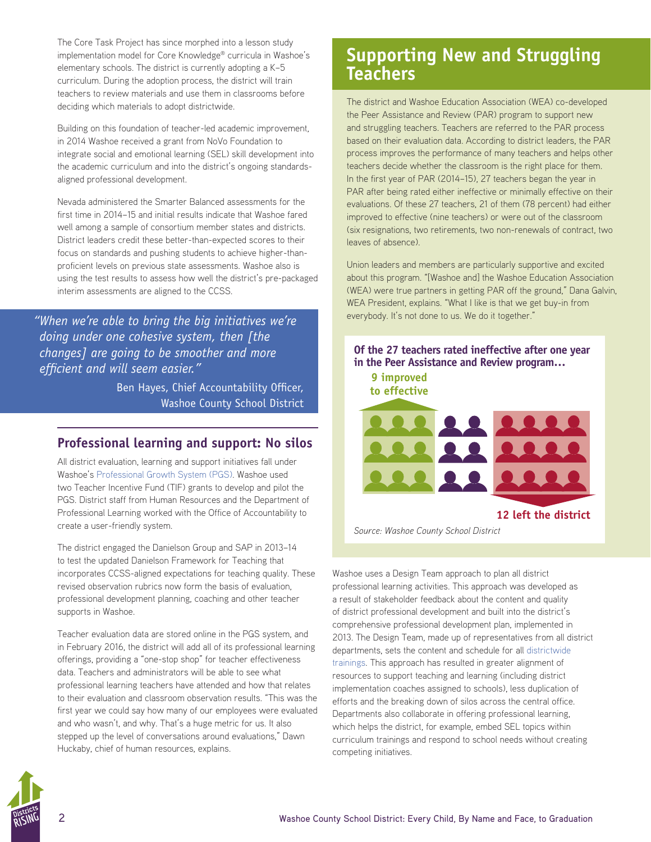The Core Task Project has since morphed into a lesson study implementation model for Core Knowledge® curricula in Washoe's elementary schools. The district is currently adopting a K–5 curriculum. During the adoption process, the district will train teachers to review materials and use them in classrooms before deciding which materials to adopt districtwide.

Building on this foundation of teacher-led academic improvement, in 2014 Washoe received a grant from NoVo Foundation to integrate social and emotional learning (SEL) skill development into the academic curriculum and into the district's ongoing standardsaligned professional development.

Nevada administered the Smarter Balanced assessments for the first time in 2014–15 and initial results indicate that Washoe fared well among a sample of consortium member states and districts. District leaders credit these better-than-expected scores to their focus on standards and pushing students to achieve higher-thanproficient levels on previous state assessments. Washoe also is using the test results to assess how well the district's pre-packaged interim assessments are aligned to the CCSS.

*"When we're able to bring the big initiatives we're doing under one cohesive system, then [the changes] are going to be smoother and more efficient and will seem easier."* 

> Ben Hayes, Chief Accountability Officer, Washoe County School District

#### **Professional learning and support: No silos**

All district evaluation, learning and support initiatives fall under Washoe's [Professional Growth System \(PGS\).](http://www.washoeschools.net/Domain/243) Washoe used two Teacher Incentive Fund (TIF) grants to develop and pilot the PGS. District staff from Human Resources and the Department of Professional Learning worked with the Office of Accountability to create a user-friendly system.

The district engaged the Danielson Group and SAP in 2013–14 to test the updated Danielson Framework for Teaching that incorporates CCSS-aligned expectations for teaching quality. These revised observation rubrics now form the basis of evaluation, professional development planning, coaching and other teacher supports in Washoe.

Teacher evaluation data are stored online in the PGS system, and in February 2016, the district will add all of its professional learning offerings, providing a "one-stop shop" for teacher effectiveness data. Teachers and administrators will be able to see what professional learning teachers have attended and how that relates to their evaluation and classroom observation results. "This was the first year we could say how many of our employees were evaluated and who wasn't, and why. That's a huge metric for us. It also stepped up the level of conversations around evaluations," Dawn Huckaby, chief of human resources, explains.

# **Supporting New and Struggling Teachers**

The district and Washoe Education Association (WEA) co-developed the Peer Assistance and Review (PAR) program to support new and struggling teachers. Teachers are referred to the PAR process based on their evaluation data. According to district leaders, the PAR process improves the performance of many teachers and helps other teachers decide whether the classroom is the right place for them. In the first year of PAR (2014–15), 27 teachers began the year in PAR after being rated either ineffective or minimally effective on their evaluations. Of these 27 teachers, 21 of them (78 percent) had either improved to effective (nine teachers) or were out of the classroom (six resignations, two retirements, two non-renewals of contract, two leaves of absence).

Union leaders and members are particularly supportive and excited about this program. "[Washoe and] the Washoe Education Association (WEA) were true partners in getting PAR off the ground," Dana Galvin, WEA President, explains. "What I like is that we get buy-in from everybody. It's not done to us. We do it together."



**12 left the district**

*Source: Washoe County School District* 

Washoe uses a Design Team approach to plan all district professional learning activities. This approach was developed as a result of stakeholder feedback about the content and quality of district professional development and built into the district's comprehensive professional development plan, implemented in 2013. The Design Team, made up of representatives from all district departments, sets the content and schedule for all [districtwide](http://www.livebinders.com/play/play?id=796675&present=true)  [trainings.](http://www.livebinders.com/play/play?id=796675&present=true) This approach has resulted in greater alignment of resources to support teaching and learning (including district implementation coaches assigned to schools), less duplication of efforts and the breaking down of silos across the central office. Departments also collaborate in offering professional learning, which helps the district, for example, embed SEL topics within curriculum trainings and respond to school needs without creating competing initiatives.

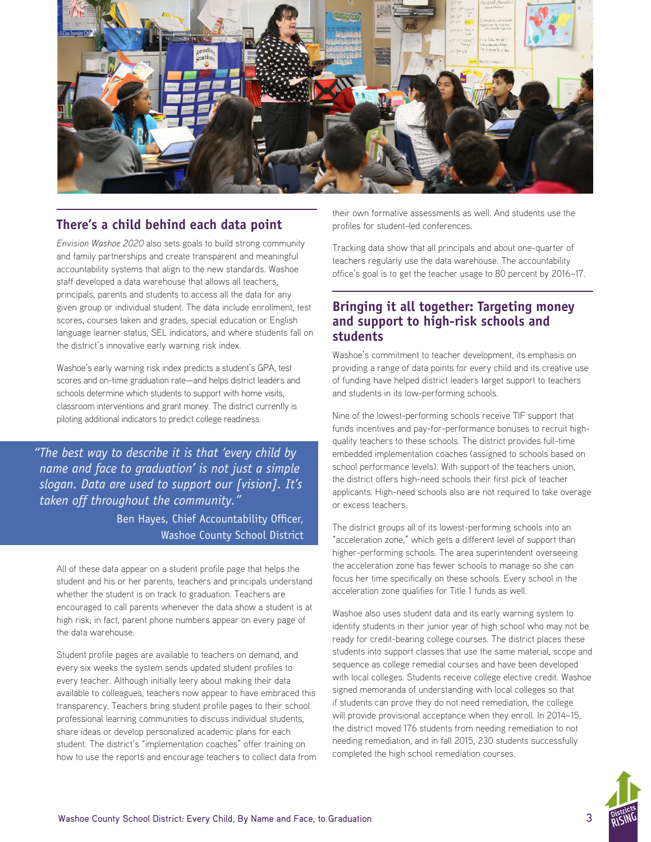

## **There's a child behind each data point**

*Envision Washoe 2020* also sets goals to build strong community and family partnerships and create transparent and meaningful accountability systems that align to the new standards. Washoe staff developed a data warehouse that allows all teachers, principals, parents and students to access all the data for any given group or individual student. The data include enrollment, test scores, courses taken and grades, special education or English language learner status, SEL indicators, and where students fall on the district's innovative early warning risk index.

Washoe's early warning risk index predicts a student's GPA, test scores and on-time graduation rate—and helps district leaders and schools determine which students to support with home visits, classroom interventions and grant money. The district currently is piloting additional indicators to predict college readiness.

*"The best way to describe it is that 'every child by name and face to graduation' is not just a simple slogan. Data are used to support our [vision]. It's taken off throughout the community."*

> Ben Hayes, Chief Accountability Officer, Washoe County School District

All of these data appear on a student profile page that helps the student and his or her parents, teachers and principals understand whether the student is on track to graduation. Teachers are encouraged to call parents whenever the data show a student is at high risk; in fact, parent phone numbers appear on every page of the data warehouse.

Student profile pages are available to teachers on demand, and every six weeks the system sends updated student profiles to every teacher. Although initially leery about making their data available to colleagues, teachers now appear to have embraced this transparency. Teachers bring student profile pages to their school professional learning communities to discuss individual students, share ideas or develop personalized academic plans for each student. The district's "implementation coaches" offer training on how to use the reports and encourage teachers to collect data from their own formative assessments as well. And students use the profiles for student-led conferences.

Tracking data show that all principals and about one-quarter of teachers regularly use the data warehouse. The accountability office's goal is to get the teacher usage to 80 percent by 2016–17.

#### **Bringing it all together: Targeting money and support to high-risk schools and students**

Washoe's commitment to teacher development, its emphasis on providing a range of data points for every child and its creative use of funding have helped district leaders target support to teachers and students in its low-performing schools.

Nine of the lowest-performing schools receive TIF support that funds incentives and pay-for-performance bonuses to recruit highquality teachers to these schools. The district provides full-time embedded implementation coaches (assigned to schools based on school performance levels). With support of the teachers union, the district offers high-need schools their first pick of teacher applicants. High-need schools also are not required to take overage or excess teachers.

The district groups all of its lowest-performing schools into an "acceleration zone," which gets a different level of support than higher-performing schools. The area superintendent overseeing the acceleration zone has fewer schools to manage so she can focus her time specifically on these schools. Every school in the acceleration zone qualifies for Title 1 funds as well.

Washoe also uses student data and its early warning system to identify students in their junior year of high school who may not be ready for credit-bearing college courses. The district places these students into support classes that use the same material, scope and sequence as college remedial courses and have been developed with local colleges. Students receive college elective credit. Washoe signed memoranda of understanding with local colleges so that if students can prove they do not need remediation, the college will provide provisional acceptance when they enroll. In 2014–15, the district moved 176 students from needing remediation to not needing remediation, and in fall 2015, 230 students successfully completed the high school remediation courses.